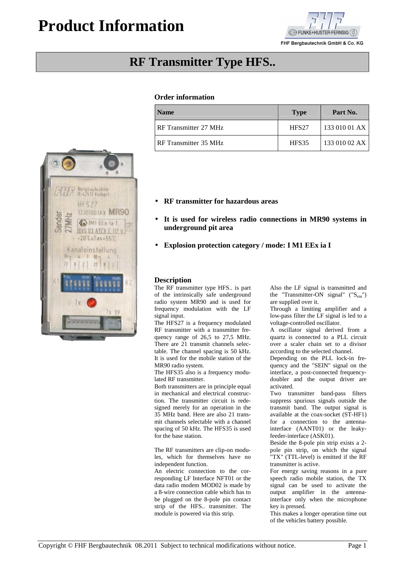# **Product Information**



FHF Bergbautechnik GmbH & Co. KG

# **RF Transmitter Type HFS..**

# **Order information**

| <b>Name</b>             | <b>Type</b>       | Part No.      |
|-------------------------|-------------------|---------------|
| I RF Transmitter 27 MHz | HFS <sub>27</sub> | 133 010 01 AX |
| I RF Transmitter 35 MHz | HFS35             | 133 010 02 AX |



- **RF transmitter for hazardous areas**
- **It is used for wireless radio connections in MR90 systems in underground pit area**
- **Explosion protection category / mode: I M1 EEx ia I**

#### **Description**

The RF transmitter type HFS.. is part of the intrinsically safe underground radio system MR90 and is used for frequency modulation with the LF signal input.

The HFS27 is a frequency modulated RF transmitter with a transmitter frequency range of 26,5 to 27,5 MHz. There are 21 transmit channels selectable. The channel spacing is 50 kHz. It is used for the mobile station of the MR90 radio system.

The HFS35 also is a frequency modulated RF transmitter.

Both transmitters are in principle equal in mechanical and electrical construction. The transmitter circuit is redesigned merely for an operation in the 35 MHz band. Here are also 21 transmit channels selectable with a channel spacing of 50 kHz. The HFS35 is used for the base station.

The RF transmitters are clip-on modules, which for themselves have no independent function.

An electric connection to the corresponding LF Interface NFT01 or the data radio modem MOD02 is made by a 8-wire connection cable which has to be plugged on the 8-pole pin contact strip of the HFS.. transmitter. The module is powered via this strip.

Also the LF signal is transmitted and the "Transmitter-ON signal"  $("S<sub>ein</sub>$ are supplied over it.

Through a limiting amplifier and a low-pass filter the LF signal is led to a voltage-controlled oscillator.

A oscillator signal derived from a quartz is connected to a PLL circuit over a scaler chain set to a divisor according to the selected channel.

Depending on the PLL lock-in frequency and the "SEIN" signal on the interface, a post-connected frequencydoubler and the output driver are activated.

Two transmitter band-pass filters suppress spurious signals outside the transmit band. The output signal is available at the coax-socket (ST-HF1) for a connection to the antennainterface (AANT01) or the leakyfeeder-interface (ASK01).

Beside the 8-pole pin strip exists a 2 pole pin strip, on which the signal "TX" (TTL-level) is emitted if the RF transmitter is active.

For energy saving reasons in a pure speech radio mobile station, the TX signal can be used to activate the output amplifier in the antennainterface only when the microphone key is pressed.

This makes a longer operation time out of the vehicles battery possible.